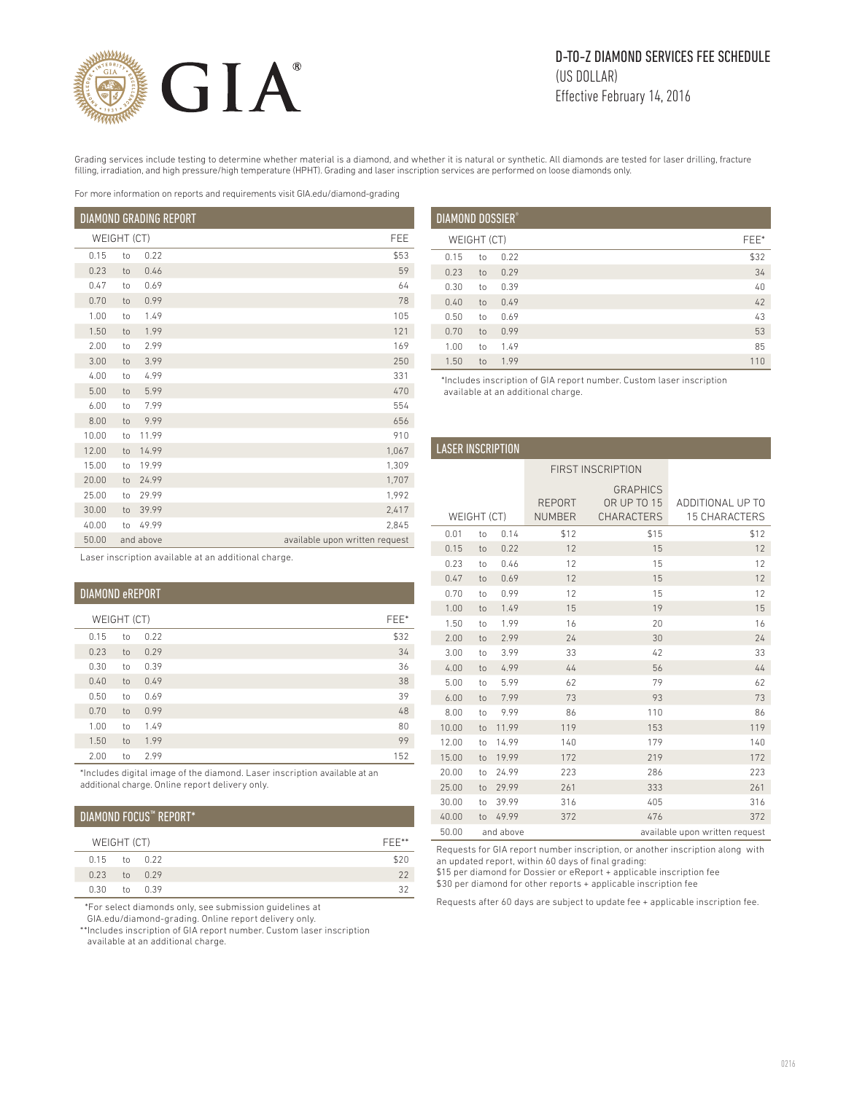

# D-TO-Z DIAMOND SERVICES FEE SCHEDULE (US DOLLAR) Effective February 14, 2016

Grading services include testing to determine whether material is a diamond, and whether it is natural or synthetic. All diamonds are tested for laser drilling, fracture filling, irradiation, and high pressure/high temperature (HPHT). Grading and laser inscription services are performed on loose diamonds only.

For more information on reports and requirements visit GIA.edu/diamond-grading

| DIAMOND GRADING REPORT |    |           |                                |
|------------------------|----|-----------|--------------------------------|
| WEIGHT (CT)            |    |           | FEE                            |
| 0.15                   | to | 0.22      | \$53                           |
| 0.23                   | to | 0.46      | 59                             |
| 0.47                   | to | 0.69      | 64                             |
| 0.70                   | to | 0.99      | 78                             |
| 1.00                   | to | 1.49      | 105                            |
| 1.50                   | to | 1.99      | 121                            |
| 2.00                   | to | 2.99      | 169                            |
| 3.00                   | to | 3.99      | 250                            |
| 4.00                   | to | 4.99      | 331                            |
| 5.00                   | to | 5.99      | 470                            |
| 6.00                   | to | 7.99      | 554                            |
| 8.00                   | to | 9.99      | 656                            |
| 10.00                  | to | 11.99     | 910                            |
| 12.00                  | to | 14.99     | 1,067                          |
| 15.00                  | to | 19.99     | 1,309                          |
| 20.00                  | to | 24.99     | 1,707                          |
| 25.00                  | to | 29.99     | 1,992                          |
| 30.00                  | to | 39.99     | 2,417                          |
| 40.00                  | to | 49.99     | 2.845                          |
| 50.00                  |    | and above | available upon written request |

| <b>DIAMOND DOSSIER®</b> |             |      |      |    |  |
|-------------------------|-------------|------|------|----|--|
|                         | WEIGHT (CT) |      | FEE* |    |  |
| 0.15                    | to          | 0.22 | \$32 |    |  |
| 0.23                    | to          | 0.29 |      | 34 |  |
| 0.30                    | to          | 0.39 |      | 40 |  |
| 0.40                    | to          | 0.49 |      | 42 |  |
| 0.50                    | to          | 0.69 |      | 43 |  |
| 0.70                    | to          | 0.99 |      | 53 |  |
| 1.00                    | to          | 1.49 |      | 85 |  |
| 1.50                    | to          | 1.99 | 110  |    |  |

 \*Includes inscription of GIA report number. Custom laser inscription available at an additional charge.

| <b>LASER INSCRIPTION</b> |    |           |                                |                                                            |                                          |
|--------------------------|----|-----------|--------------------------------|------------------------------------------------------------|------------------------------------------|
| <b>FIRST INSCRIPTION</b> |    |           |                                |                                                            |                                          |
| WEIGHT (CT)              |    |           | <b>REPORT</b><br><b>NUMBER</b> | <b>GRAPHICS</b><br><b>OR UP TO 15</b><br><b>CHARACTERS</b> | ADDITIONAL UP TO<br><b>15 CHARACTERS</b> |
| 0.01                     | to | 0.14      | \$12                           | \$15                                                       | \$12                                     |
| 0.15                     | to | 0.22      | 12                             | 15                                                         | 12                                       |
| 0.23                     | to | 0.46      | 12                             | 15                                                         | 12                                       |
| 0.47                     | to | 0.69      | 12                             | 15                                                         | 12                                       |
| 0.70                     | to | 0.99      | 12                             | 15                                                         | 12                                       |
| 1.00                     | to | 1.49      | 15                             | 19                                                         | 15                                       |
| 1.50                     | to | 1.99      | 16                             | 20                                                         | 16                                       |
| 2.00                     | to | 2.99      | 24                             | 30                                                         | 24                                       |
| 3.00                     | to | 3.99      | 33                             | 42                                                         | 33                                       |
| 4.00                     | to | 4.99      | 44                             | 56                                                         | 44                                       |
| 5.00                     | to | 5.99      | 62                             | 79                                                         | 62                                       |
| 6.00                     | to | 7.99      | 73                             | 93                                                         | 73                                       |
| 8.00                     | to | 9.99      | 86                             | 110                                                        | 86                                       |
| 10.00                    | to | 11.99     | 119                            | 153                                                        | 119                                      |
| 12.00                    | to | 14.99     | 140                            | 179                                                        | 140                                      |
| 15.00                    | to | 19.99     | 172                            | 219                                                        | 172                                      |
| 20.00                    | to | 24.99     | 223                            | 286                                                        | 223                                      |
| 25.00                    | to | 29.99     | 261                            | 333                                                        | 261                                      |
| 30.00                    | to | 39.99     | 316                            | 405                                                        | 316                                      |
| 40.00                    | to | 49.99     | 372                            | 476                                                        | 372                                      |
| 50.00                    |    | and above |                                |                                                            | available upon written request           |

Requests for GIA report number inscription, or another inscription along with an updated report, within 60 days of final grading:

\$15 per diamond for Dossier or eReport + applicable inscription fee

\$30 per diamond for other reports + applicable inscription fee

Requests after 60 days are subject to update fee + applicable inscription fee.

|  | Laser inscription available at an additional charge. |  |  |
|--|------------------------------------------------------|--|--|
|  |                                                      |  |  |

| <b>DIAMOND eREPORT</b> |             |      |      |  |
|------------------------|-------------|------|------|--|
|                        | WEIGHT (CT) |      | FEE* |  |
| 0.15                   | to          | 0.22 | \$32 |  |
| 0.23                   | to          | 0.29 | 34   |  |
| 0.30                   | to          | 0.39 | 36   |  |
| 0.40                   | to          | 0.49 | 38   |  |
| 0.50                   | to          | 0.69 | 39   |  |
| 0.70                   | to          | 0.99 | 48   |  |
| 1.00                   | to          | 1.49 | 80   |  |
| 1.50                   | to          | 1.99 | 99   |  |
| 2.00                   | to          | 2.99 | 152  |  |

\*Includes digital image of the diamond. Laser inscription available at an additional charge. Online report delivery only.

# DIAMOND FOCUS™ REPORT\*

| WEIGHT (CT) |  |                  | FFF** |  |
|-------------|--|------------------|-------|--|
|             |  | $0.15$ to $0.22$ | \$20  |  |
|             |  | $0.23$ to $0.29$ | 22    |  |
| 0.30        |  | to 0.39          |       |  |

\*For select diamonds only, see submission guidelines at

GIA.edu/diamond-grading. Online report delivery only.

\*\*Includes inscription of GIA report number. Custom laser inscription available at an additional charge.